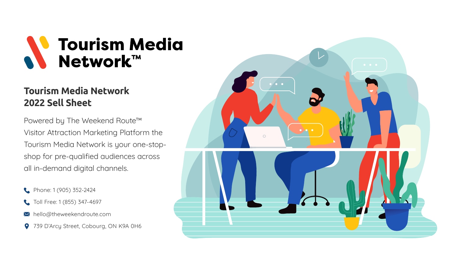Powered by The Weekend Route™ Visitor Attraction Marketing Platform the Tourism Media Network is your one-stopshop for pre-qualified audiences across all in-demand digital channels.

- Phone: 1 (905) 352-2424
- **C** Toll Free: 1 (855) 347-4697
- **X** hello@theweekendroute.com
- **9** 739 D'Arcy Street, Cobourg, ON K9A 0H6



# **State Tourism Media<br>State Network™**

## **Tourism Media Network 2022 Sell Sheet**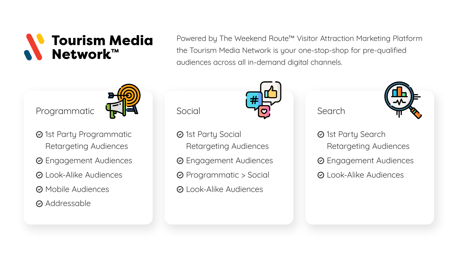- **2** 1st Party Programmatic Retargeting Audiences
- Engagement Audiences
- Look-Alike Audiences
- **Ø** Mobile Audiences
- Addressable

- **⊘** 1st Party Social
	- Retargeting Audiences
- Engagement Audiences
- Programmatic > Social
- Look-Alike Audiences





- **2** 1st Party Search
	- Retargeting Audiences
- Engagement Audiences
- Look-Alike Audiences



## Tourism Media<br>Network™

Powered by The Weekend Route™ Visitor Attraction Marketing Platform the Tourism Media Network is your one-stop-shop for pre-qualified audiences across all in-demand digital channels.

Programmatic  $\blacksquare$ 

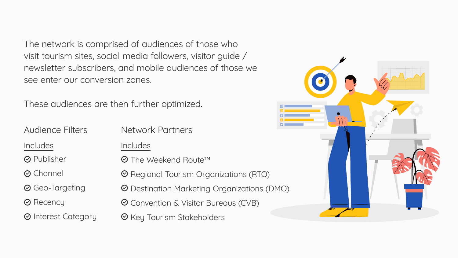The network is comprised of audiences of those who visit tourism sites, social media followers, visitor guide / newsletter subscribers, and mobile audiences of those we see enter our conversion zones.

- Audience Filters
- Includes
- **⊘** Publisher
- **⊘** Channel
- $\odot$  **Geo-Targeting**
- **⊘** Recency
- **Ø** Interest Category

These audiences are then further optimized.

Network Partners

Includes

- © The Weekend Route™
- Regional Tourism Organizations (RTO)
- Destination Marketing Organizations (DMO)
- Convention & Visitor Bureaus (CVB)
- **Ø Key Tourism Stakeholders**